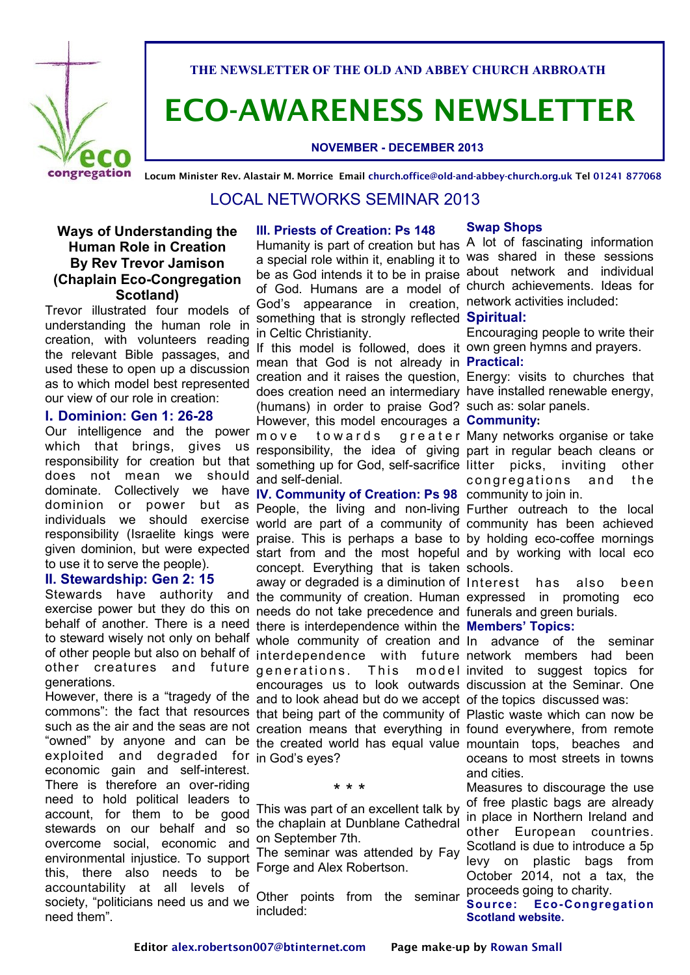

**THE NEWSLETTER OF THE OLD AND ABBEY CHURCH ARBROATH**

# **ECO-AWARENESS NEWSLETTER**

### **NOVEMBER - DECEMBER 2013**

**Locum Minister Rev. Alastair M. Morrice Email church.office@old-and-abbey-church.org.uk Tel 01241 877068**

### LOCAL NETWORKS SEMINAR 2013

### **Ways of Understanding the Human Role in Creation By Rev Trevor Jamison (Chaplain Eco-Congregation Scotland)**

Trevor illustrated four models of understanding the human role in creation, with volunteers reading the relevant Bible passages, and used these to open up a discussion as to which model best represented our view of our role in creation:

### **I. Dominion: Gen 1: 26-28**

Our intelligence and the power which that brings, gives us responsibility for creation but that does not mean we should dominate. Collectively we have **IV. Community of Creation: Ps 98**  community to join in. dominion or power but as to use it to serve the people).

#### **II. Stewardship: Gen 2: 15**

other creatures generations.

exploited and degraded for in God's eyes? economic gain and self-interest. There is therefore an over-riding need to hold political leaders to account, for them to be good stewards on our behalf and so overcome social, economic and environmental injustice. To support this, there also needs to be accountability at all levels of society, "politicians need us and we need them".

#### **III. Priests of Creation: Ps 148**

Humanity is part of creation but has A lot of fascinating information a special role within it, enabling it to was shared in these sessions be as God intends it to be in praise about network and individual of God. Humans are a model of church achievements. Ideas for God's appearance in creation, network activities included: something that is strongly reflected **Spiritual:** in Celtic Christianity.

If this model is followed, does it own green hymns and prayers. mean that God is not already in **Practical:** creation and it raises the question, Energy: visits to churches that does creation need an intermediary have installed renewable energy, (humans) in order to praise God? such as: solar panels. However, this model encourages a **Community:** move towards responsibility, the idea of giving part in regular beach cleans or something up for God, self-sacrifice litter picks, inviting other and self-denial.

individuals we should exercise world are part of a community of community has been achieved responsibility (Israelite kings were praise. This is perhaps a base to by holding eco-coffee mornings given dominion, but were expected start from and the most hopeful and by working with local eco Stewards have authority and the community of creation. Human expressed in promoting eco exercise power but they do this on needs do not take precedence and funerals and green burials. behalf of another. There is a need there is interdependence within the **Members' Topics:** to steward wisely not only on behalf whole community of creation and In advance of the seminar of other people but also on behalf of interdependence with future network members had been However, there is a "tragedy of the and to look ahead but do we accept of the topics discussed was: commons": the fact that resources that being part of the community of Plastic waste which can now be such as the air and the seas are not creation means that everything in found everywhere, from remote "owned" by anyone and can be the created world has equal value mountain tops, beaches and People, the living and non-living Further outreach to the local concept. Everything that is taken schools. away or degraded is a diminution of Interest has also been and future generations. encourages us to look outwards discussion at the Seminar. One

#### \* \* \*

This was part of an excellent talk by the chaplain at Dunblane Cathedral on September 7th.

The seminar was attended by Fay Forge and Alex Robertson.

Other points from the seminar included:

#### **Swap Shops**

Encouraging people to write their

greater Many networks organise or take congregations and the

This model invited to suggest topics for

oceans to most streets in towns and cities.

Measures to discourage the use of free plastic bags are already in place in Northern Ireland and other European countries. Scotland is due to introduce a 5p levy on plastic bags from October 2014, not a tax, the proceeds going to charity.

#### **Source: Eco-Congregation Scotland website.**